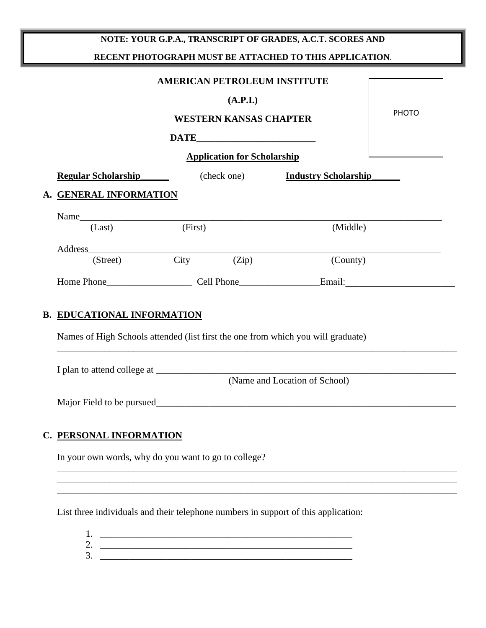## **NOTE: YOUR G.P.A., TRANSCRIPT OF GRADES, A.C.T. SCORES AND RECENT PHOTOGRAPH MUST BE ATTACHED TO THIS APPLICATION**.

| <b>AMERICAN PETROLEUM INSTITUTE</b>                                              | <b>PHOTO</b> |                                    |                                         |  |  |  |  |
|----------------------------------------------------------------------------------|--------------|------------------------------------|-----------------------------------------|--|--|--|--|
| <b>Regular Scholarship</b>                                                       |              | <b>Application for Scholarship</b> | (check one) <b>Industry Scholarship</b> |  |  |  |  |
| A. GENERAL INFORMATION                                                           |              |                                    |                                         |  |  |  |  |
| Name<br>(Last)                                                                   | (First)      |                                    | (Middle)                                |  |  |  |  |
| (Street)                                                                         |              | $City$ $(Zip)$                     | (County)                                |  |  |  |  |
|                                                                                  |              |                                    |                                         |  |  |  |  |
| <b>B. EDUCATIONAL INFORMATION</b>                                                |              |                                    |                                         |  |  |  |  |
| Names of High Schools attended (list first the one from which you will graduate) |              |                                    |                                         |  |  |  |  |

I plan to attend college at \_\_\_\_\_\_\_\_\_\_\_\_\_\_\_\_\_\_\_\_\_\_\_\_\_\_\_\_\_\_\_\_\_\_\_\_\_\_\_\_\_\_\_\_\_\_\_\_\_\_\_\_\_\_\_\_\_\_\_\_\_\_\_ (Name and Location of School)

\_\_\_\_\_\_\_\_\_\_\_\_\_\_\_\_\_\_\_\_\_\_\_\_\_\_\_\_\_\_\_\_\_\_\_\_\_\_\_\_\_\_\_\_\_\_\_\_\_\_\_\_\_\_\_\_\_\_\_\_\_\_\_\_\_\_\_\_\_\_\_\_\_\_\_\_\_\_\_\_\_\_\_\_ \_\_\_\_\_\_\_\_\_\_\_\_\_\_\_\_\_\_\_\_\_\_\_\_\_\_\_\_\_\_\_\_\_\_\_\_\_\_\_\_\_\_\_\_\_\_\_\_\_\_\_\_\_\_\_\_\_\_\_\_\_\_\_\_\_\_\_\_\_\_\_\_\_\_\_\_\_\_\_\_\_\_\_\_ \_\_\_\_\_\_\_\_\_\_\_\_\_\_\_\_\_\_\_\_\_\_\_\_\_\_\_\_\_\_\_\_\_\_\_\_\_\_\_\_\_\_\_\_\_\_\_\_\_\_\_\_\_\_\_\_\_\_\_\_\_\_\_\_\_\_\_\_\_\_\_\_\_\_\_\_\_\_\_\_\_\_\_\_

Major Field to be pursued\_\_\_\_\_\_\_\_\_\_\_\_\_\_\_\_\_\_\_\_\_\_\_\_\_\_\_\_\_\_\_\_\_\_\_\_\_\_\_\_\_\_\_\_\_\_\_\_\_\_\_\_\_\_\_\_\_\_\_\_\_\_\_

## **C. PERSONAL INFORMATION**

In your own words, why do you want to go to college?

List three individuals and their telephone numbers in support of this application:

1. \_\_\_\_\_\_\_\_\_\_\_\_\_\_\_\_\_\_\_\_\_\_\_\_\_\_\_\_\_\_\_\_\_\_\_\_\_\_\_\_\_\_\_\_\_\_\_\_\_\_\_\_\_ 2. \_\_\_\_\_\_\_\_\_\_\_\_\_\_\_\_\_\_\_\_\_\_\_\_\_\_\_\_\_\_\_\_\_\_\_\_\_\_\_\_\_\_\_\_\_\_\_\_\_\_\_\_\_ 3. \_\_\_\_\_\_\_\_\_\_\_\_\_\_\_\_\_\_\_\_\_\_\_\_\_\_\_\_\_\_\_\_\_\_\_\_\_\_\_\_\_\_\_\_\_\_\_\_\_\_\_\_\_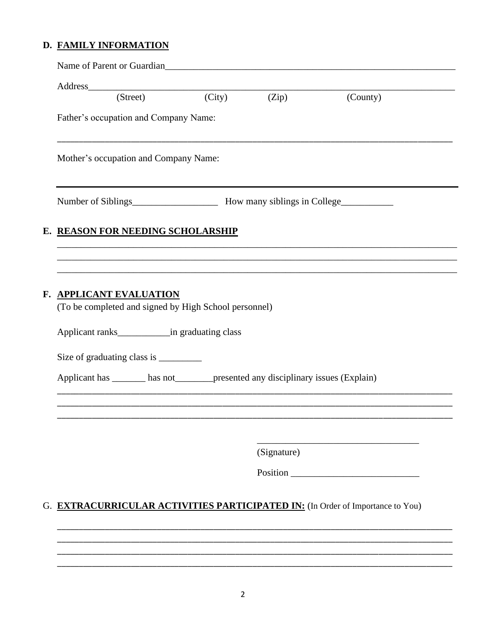## D. FAMILY INFORMATION

|    | Name of Parent or Guardian<br><u>Letter and the contract of Parent or Guardian</u>                                                                                                                              |  |             |          |  |  |  |  |  |
|----|-----------------------------------------------------------------------------------------------------------------------------------------------------------------------------------------------------------------|--|-------------|----------|--|--|--|--|--|
|    |                                                                                                                                                                                                                 |  |             |          |  |  |  |  |  |
|    | Address (Street) (City)                                                                                                                                                                                         |  | (Zip)       | (County) |  |  |  |  |  |
|    | Father's occupation and Company Name:                                                                                                                                                                           |  |             |          |  |  |  |  |  |
|    | Mother's occupation and Company Name:                                                                                                                                                                           |  |             |          |  |  |  |  |  |
|    |                                                                                                                                                                                                                 |  |             |          |  |  |  |  |  |
|    | E. REASON FOR NEEDING SCHOLARSHIP                                                                                                                                                                               |  |             |          |  |  |  |  |  |
|    |                                                                                                                                                                                                                 |  |             |          |  |  |  |  |  |
|    | F. APPLICANT EVALUATION<br>(To be completed and signed by High School personnel)<br>Size of graduating class is __________<br>Applicant has _______ has not________ presented any disciplinary issues (Explain) |  |             |          |  |  |  |  |  |
|    |                                                                                                                                                                                                                 |  |             |          |  |  |  |  |  |
|    |                                                                                                                                                                                                                 |  | (Signature) |          |  |  |  |  |  |
|    |                                                                                                                                                                                                                 |  |             |          |  |  |  |  |  |
| G. | <b>EXTRACURRICULAR ACTIVITIES PARTICIPATED IN:</b> (In Order of Importance to You)                                                                                                                              |  |             |          |  |  |  |  |  |
|    |                                                                                                                                                                                                                 |  |             |          |  |  |  |  |  |
|    |                                                                                                                                                                                                                 |  |             |          |  |  |  |  |  |